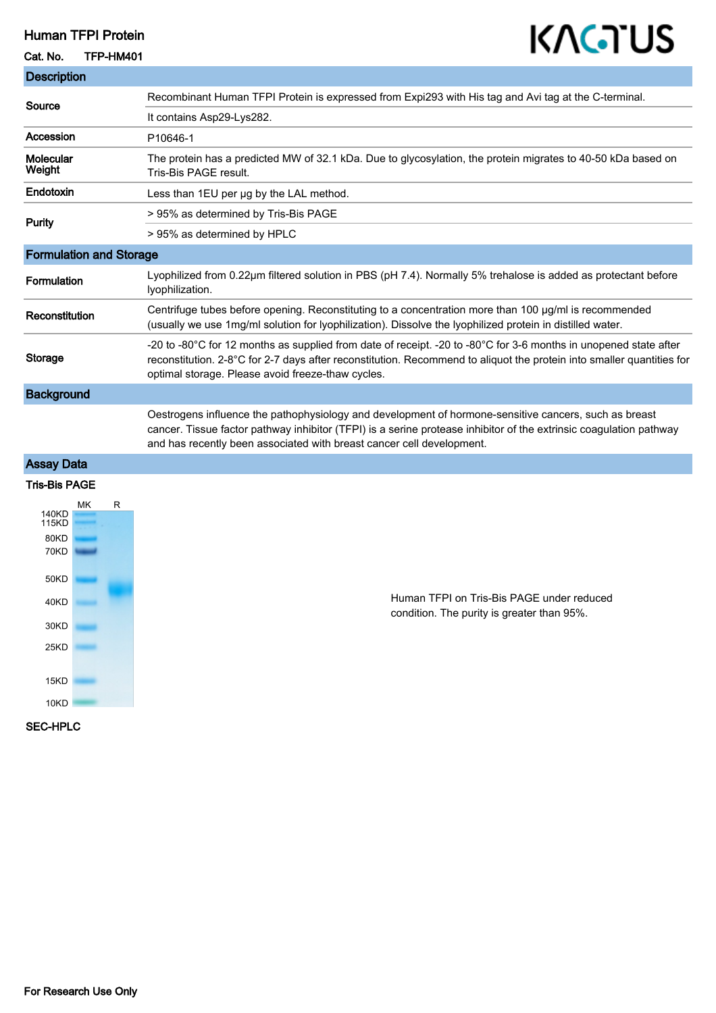## Human TFPI Protein

## Cat. No. TFP-HM401

## KAGTUS

| <b>Description</b>             |                                                                                                                                                                                                                                                                                                      |
|--------------------------------|------------------------------------------------------------------------------------------------------------------------------------------------------------------------------------------------------------------------------------------------------------------------------------------------------|
| Source                         | Recombinant Human TFPI Protein is expressed from Expi293 with His tag and Avi tag at the C-terminal.                                                                                                                                                                                                 |
|                                | It contains Asp29-Lys282.                                                                                                                                                                                                                                                                            |
| Accession                      | P10646-1                                                                                                                                                                                                                                                                                             |
| Molecular<br>Weight            | The protein has a predicted MW of 32.1 kDa. Due to glycosylation, the protein migrates to 40-50 kDa based on<br>Tris-Bis PAGE result.                                                                                                                                                                |
| Endotoxin                      | Less than 1EU per ug by the LAL method.                                                                                                                                                                                                                                                              |
| <b>Purity</b>                  | > 95% as determined by Tris-Bis PAGE                                                                                                                                                                                                                                                                 |
|                                | > 95% as determined by HPLC                                                                                                                                                                                                                                                                          |
| <b>Formulation and Storage</b> |                                                                                                                                                                                                                                                                                                      |
| Formulation                    | Lyophilized from 0.22µm filtered solution in PBS (pH 7.4). Normally 5% trehalose is added as protectant before<br>Iyophilization.                                                                                                                                                                    |
| Reconstitution                 | Centrifuge tubes before opening. Reconstituting to a concentration more than 100 µg/ml is recommended<br>(usually we use 1mg/ml solution for lyophilization). Dissolve the lyophilized protein in distilled water.                                                                                   |
| <b>Storage</b>                 | -20 to -80°C for 12 months as supplied from date of receipt. -20 to -80°C for 3-6 months in unopened state after<br>reconstitution. 2-8°C for 2-7 days after reconstitution. Recommend to aliquot the protein into smaller quantities for<br>optimal storage. Please avoid freeze-thaw cycles.       |
| <b>Background</b>              |                                                                                                                                                                                                                                                                                                      |
|                                | Oestrogens influence the pathophysiology and development of hormone-sensitive cancers, such as breast<br>cancer. Tissue factor pathway inhibitor (TFPI) is a serine protease inhibitor of the extrinsic coagulation pathway<br>and has recently been associated with breast cancer cell development. |
| <b>Assay Data</b>              |                                                                                                                                                                                                                                                                                                      |
| <b>Tris-Bis PAGE</b>           |                                                                                                                                                                                                                                                                                                      |
| МK<br>R<br>140KD<br>115KD.     |                                                                                                                                                                                                                                                                                                      |



Human TFPI on Tris-Bis PAGE under reduced condition. The purity is greater than 95%.

SEC-HPLC